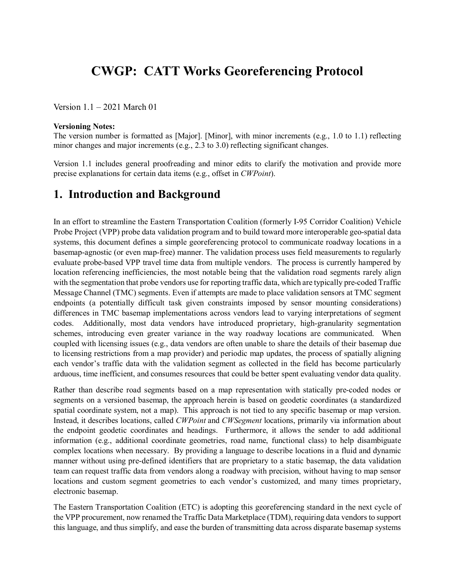# **CWGP: CATT Works Georeferencing Protocol**

Version 1.1 – 2021 March 01

#### **Versioning Notes:**

The version number is formatted as [Major]. [Minor], with minor increments (e.g., 1.0 to 1.1) reflecting minor changes and major increments (e.g., 2.3 to 3.0) reflecting significant changes.

Version 1.1 includes general proofreading and minor edits to clarify the motivation and provide more precise explanations for certain data items (e.g., offset in *CWPoint*).

### **1. Introduction and Background**

In an effort to streamline the Eastern Transportation Coalition (formerly I-95 Corridor Coalition) Vehicle Probe Project (VPP) probe data validation program and to build toward more interoperable geo-spatial data systems, this document defines a simple georeferencing protocol to communicate roadway locations in a basemap-agnostic (or even map-free) manner. The validation process uses field measurements to regularly evaluate probe-based VPP travel time data from multiple vendors. The process is currently hampered by location referencing inefficiencies, the most notable being that the validation road segments rarely align with the segmentation that probe vendors use for reporting traffic data, which are typically pre-coded Traffic Message Channel (TMC) segments. Even if attempts are made to place validation sensors at TMC segment endpoints (a potentially difficult task given constraints imposed by sensor mounting considerations) differences in TMC basemap implementations across vendors lead to varying interpretations of segment codes. Additionally, most data vendors have introduced proprietary, high-granularity segmentation schemes, introducing even greater variance in the way roadway locations are communicated. When coupled with licensing issues (e.g., data vendors are often unable to share the details of their basemap due to licensing restrictions from a map provider) and periodic map updates, the process of spatially aligning each vendor's traffic data with the validation segment as collected in the field has become particularly arduous, time inefficient, and consumes resources that could be better spent evaluating vendor data quality.

Rather than describe road segments based on a map representation with statically pre-coded nodes or segments on a versioned basemap, the approach herein is based on geodetic coordinates (a standardized spatial coordinate system, not a map). This approach is not tied to any specific basemap or map version. Instead, it describes locations, called *CWPoint* and *CWSegment* locations, primarily via information about the endpoint geodetic coordinates and headings. Furthermore, it allows the sender to add additional information (e.g., additional coordinate geometries, road name, functional class) to help disambiguate complex locations when necessary. By providing a language to describe locations in a fluid and dynamic manner without using pre-defined identifiers that are proprietary to a static basemap, the data validation team can request traffic data from vendors along a roadway with precision, without having to map sensor locations and custom segment geometries to each vendor's customized, and many times proprietary, electronic basemap.

The Eastern Transportation Coalition (ETC) is adopting this georeferencing standard in the next cycle of the VPP procurement, now renamed the Traffic Data Marketplace (TDM), requiring data vendors to support this language, and thus simplify, and ease the burden of transmitting data across disparate basemap systems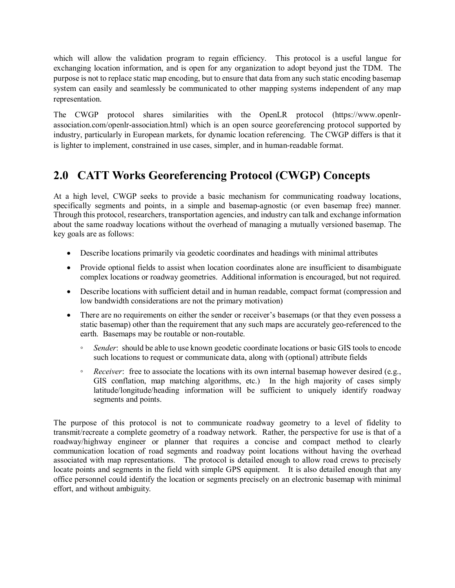which will allow the validation program to regain efficiency. This protocol is a useful langue for exchanging location information, and is open for any organization to adopt beyond just the TDM. The purpose is not to replace static map encoding, but to ensure that data from any such static encoding basemap system can easily and seamlessly be communicated to other mapping systems independent of any map representation.

The CWGP protocol shares similarities with the OpenLR protocol (https://www.openlrassociation.com/openlr-association.html) which is an open source georeferencing protocol supported by industry, particularly in European markets, for dynamic location referencing. The CWGP differs is that it is lighter to implement, constrained in use cases, simpler, and in human-readable format.

# **2.0 CATT Works Georeferencing Protocol (CWGP) Concepts**

At a high level, CWGP seeks to provide a basic mechanism for communicating roadway locations, specifically segments and points, in a simple and basemap-agnostic (or even basemap free) manner. Through this protocol, researchers, transportation agencies, and industry can talk and exchange information about the same roadway locations without the overhead of managing a mutually versioned basemap. The key goals are as follows:

- Describe locations primarily via geodetic coordinates and headings with minimal attributes
- Provide optional fields to assist when location coordinates alone are insufficient to disambiguate complex locations or roadway geometries. Additional information is encouraged, but not required.
- Describe locations with sufficient detail and in human readable, compact format (compression and low bandwidth considerations are not the primary motivation)
- There are no requirements on either the sender or receiver's basemaps (or that they even possess a static basemap) other than the requirement that any such maps are accurately geo-referenced to the earth. Basemaps may be routable or non-routable.
	- *Sender*: should be able to use known geodetic coordinate locations or basic GIS tools to encode such locations to request or communicate data, along with (optional) attribute fields
	- *Receiver*: free to associate the locations with its own internal basemap however desired (e.g., GIS conflation, map matching algorithms, etc.) In the high majority of cases simply latitude/longitude/heading information will be sufficient to uniquely identify roadway segments and points.

The purpose of this protocol is not to communicate roadway geometry to a level of fidelity to transmit/recreate a complete geometry of a roadway network. Rather, the perspective for use is that of a roadway/highway engineer or planner that requires a concise and compact method to clearly communication location of road segments and roadway point locations without having the overhead associated with map representations. The protocol is detailed enough to allow road crews to precisely locate points and segments in the field with simple GPS equipment. It is also detailed enough that any office personnel could identify the location or segments precisely on an electronic basemap with minimal effort, and without ambiguity.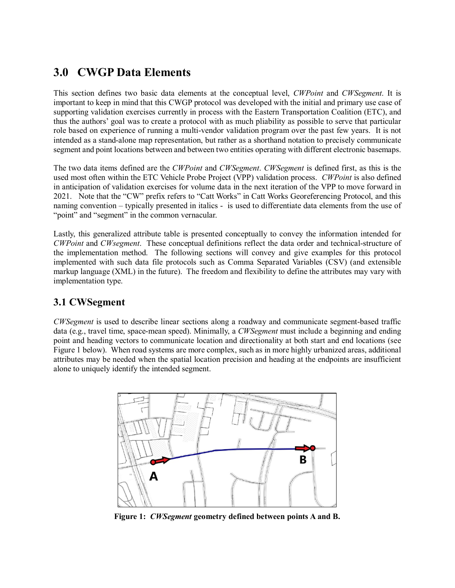## **3.0 CWGP Data Elements**

This section defines two basic data elements at the conceptual level, *CWPoint* and *CWSegment*. It is important to keep in mind that this CWGP protocol was developed with the initial and primary use case of supporting validation exercises currently in process with the Eastern Transportation Coalition (ETC), and thus the authors' goal was to create a protocol with as much pliability as possible to serve that particular role based on experience of running a multi-vendor validation program over the past few years. It is not intended as a stand-alone map representation, but rather as a shorthand notation to precisely communicate segment and point locations between and between two entities operating with different electronic basemaps.

The two data items defined are the *CWPoint* and *CWSegment*. *CWSegment* is defined first, as this is the used most often within the ETC Vehicle Probe Project (VPP) validation process. *CWPoint* is also defined in anticipation of validation exercises for volume data in the next iteration of the VPP to move forward in 2021. Note that the "CW" prefix refers to "Catt Works" in Catt Works Georeferencing Protocol, and this naming convention – typically presented in italics - is used to differentiate data elements from the use of "point" and "segment" in the common vernacular.

Lastly, this generalized attribute table is presented conceptually to convey the information intended for *CWPoint* and *CWsegment*. These conceptual definitions reflect the data order and technical-structure of the implementation method. The following sections will convey and give examples for this protocol implemented with such data file protocols such as Comma Separated Variables (CSV) (and extensible markup language (XML) in the future). The freedom and flexibility to define the attributes may vary with implementation type.

### **3.1 CWSegment**

*CWSegment* is used to describe linear sections along a roadway and communicate segment-based traffic data (e.g., travel time, space-mean speed). Minimally, a *CWSegment* must include a beginning and ending point and heading vectors to communicate location and directionality at both start and end locations (see Figure 1 below). When road systems are more complex, such as in more highly urbanized areas, additional attributes may be needed when the spatial location precision and heading at the endpoints are insufficient alone to uniquely identify the intended segment.



**Figure 1:** *CWSegment* **geometry defined between points A and B.**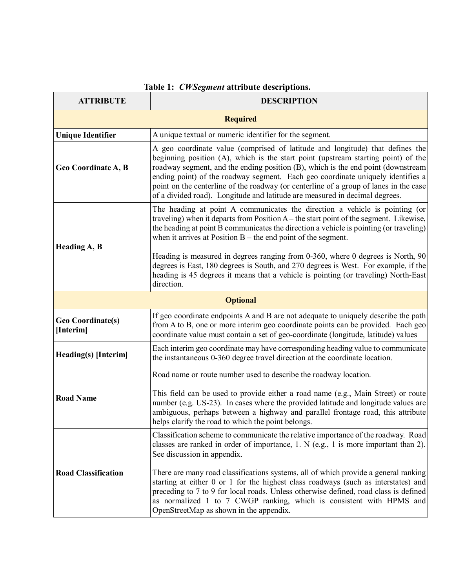| <b>ATTRIBUTE</b>                                                                                                                                                                                                                                                                                                                                                                                                                                                                                                                         | <b>DESCRIPTION</b>                                                                                                                                                                                                                                                                                                                                                                   |  |  |  |
|------------------------------------------------------------------------------------------------------------------------------------------------------------------------------------------------------------------------------------------------------------------------------------------------------------------------------------------------------------------------------------------------------------------------------------------------------------------------------------------------------------------------------------------|--------------------------------------------------------------------------------------------------------------------------------------------------------------------------------------------------------------------------------------------------------------------------------------------------------------------------------------------------------------------------------------|--|--|--|
|                                                                                                                                                                                                                                                                                                                                                                                                                                                                                                                                          | <b>Required</b>                                                                                                                                                                                                                                                                                                                                                                      |  |  |  |
| <b>Unique Identifier</b>                                                                                                                                                                                                                                                                                                                                                                                                                                                                                                                 | A unique textual or numeric identifier for the segment.                                                                                                                                                                                                                                                                                                                              |  |  |  |
| A geo coordinate value (comprised of latitude and longitude) that defines the<br>beginning position (A), which is the start point (upstream starting point) of the<br>roadway segment, and the ending position (B), which is the end point (downstream<br>Geo Coordinate A, B<br>ending point) of the roadway segment. Each geo coordinate uniquely identifies a<br>point on the centerline of the roadway (or centerline of a group of lanes in the case<br>of a divided road). Longitude and latitude are measured in decimal degrees. |                                                                                                                                                                                                                                                                                                                                                                                      |  |  |  |
| Heading A, B                                                                                                                                                                                                                                                                                                                                                                                                                                                                                                                             | The heading at point A communicates the direction a vehicle is pointing (or<br>traveling) when it departs from Position A – the start point of the segment. Likewise,<br>the heading at point B communicates the direction a vehicle is pointing (or traveling)<br>when it arrives at Position $B$ – the end point of the segment.                                                   |  |  |  |
|                                                                                                                                                                                                                                                                                                                                                                                                                                                                                                                                          | Heading is measured in degrees ranging from 0-360, where 0 degrees is North, 90<br>degrees is East, 180 degrees is South, and 270 degrees is West. For example, if the<br>heading is 45 degrees it means that a vehicle is pointing (or traveling) North-East<br>direction.                                                                                                          |  |  |  |
|                                                                                                                                                                                                                                                                                                                                                                                                                                                                                                                                          | <b>Optional</b>                                                                                                                                                                                                                                                                                                                                                                      |  |  |  |
| <b>Geo Coordinate(s)</b><br>[Interim]                                                                                                                                                                                                                                                                                                                                                                                                                                                                                                    | If geo coordinate endpoints A and B are not adequate to uniquely describe the path<br>from A to B, one or more interim geo coordinate points can be provided. Each geo<br>coordinate value must contain a set of geo-coordinate (longitude, latitude) values                                                                                                                         |  |  |  |
| Heading(s) [Interim]                                                                                                                                                                                                                                                                                                                                                                                                                                                                                                                     | Each interim geo coordinate may have corresponding heading value to communicate<br>the instantaneous 0-360 degree travel direction at the coordinate location.                                                                                                                                                                                                                       |  |  |  |
|                                                                                                                                                                                                                                                                                                                                                                                                                                                                                                                                          | Road name or route number used to describe the roadway location.                                                                                                                                                                                                                                                                                                                     |  |  |  |
| <b>Road Name</b>                                                                                                                                                                                                                                                                                                                                                                                                                                                                                                                         | This field can be used to provide either a road name (e.g., Main Street) or route<br>number (e.g. US-23). In cases where the provided latitude and longitude values are<br>ambiguous, perhaps between a highway and parallel frontage road, this attribute<br>helps clarify the road to which the point belongs.                                                                     |  |  |  |
|                                                                                                                                                                                                                                                                                                                                                                                                                                                                                                                                          | Classification scheme to communicate the relative importance of the roadway. Road<br>classes are ranked in order of importance, $1. N$ (e.g., $1$ is more important than 2).<br>See discussion in appendix.                                                                                                                                                                          |  |  |  |
| <b>Road Classification</b>                                                                                                                                                                                                                                                                                                                                                                                                                                                                                                               | There are many road classifications systems, all of which provide a general ranking<br>starting at either 0 or 1 for the highest class roadways (such as interstates) and<br>preceding to 7 to 9 for local roads. Unless otherwise defined, road class is defined<br>as normalized 1 to 7 CWGP ranking, which is consistent with HPMS and<br>OpenStreetMap as shown in the appendix. |  |  |  |

### **Table 1:** *CWSegment* **attribute descriptions.**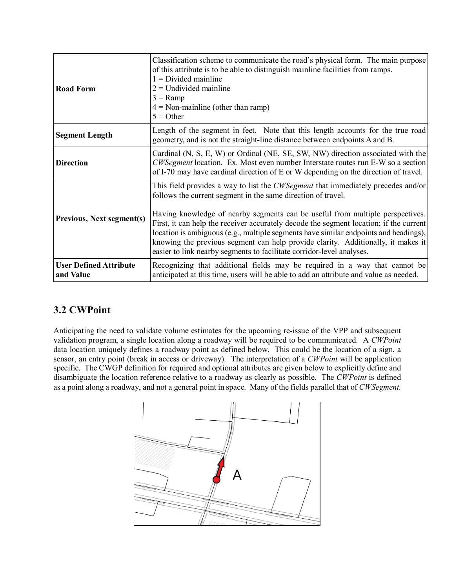| <b>Road Form</b>                           | Classification scheme to communicate the road's physical form. The main purpose<br>of this attribute is to be able to distinguish mainline facilities from ramps.<br>$1 = Divided$ mainline<br>$2 =$ Undivided mainline<br>$3 =$ Ramp<br>$4 = \text{Non-maniline (other than ramp)}$<br>$5 =$ Other                                                                                                                                                                                                                                                                                     |  |  |  |  |
|--------------------------------------------|-----------------------------------------------------------------------------------------------------------------------------------------------------------------------------------------------------------------------------------------------------------------------------------------------------------------------------------------------------------------------------------------------------------------------------------------------------------------------------------------------------------------------------------------------------------------------------------------|--|--|--|--|
| <b>Segment Length</b>                      | Length of the segment in feet. Note that this length accounts for the true road<br>geometry, and is not the straight-line distance between endpoints A and B.                                                                                                                                                                                                                                                                                                                                                                                                                           |  |  |  |  |
| <b>Direction</b>                           | Cardinal (N, S, E, W) or Ordinal (NE, SE, SW, NW) direction associated with the<br>CWSegment location. Ex. Most even number Interstate routes run E-W so a section<br>of I-70 may have cardinal direction of E or W depending on the direction of travel.                                                                                                                                                                                                                                                                                                                               |  |  |  |  |
| <b>Previous, Next segment(s)</b>           | This field provides a way to list the <i>CWSegment</i> that immediately precedes and/or<br>follows the current segment in the same direction of travel.<br>Having knowledge of nearby segments can be useful from multiple perspectives.<br>First, it can help the receiver accurately decode the segment location; if the current<br>location is ambiguous (e.g., multiple segments have similar endpoints and headings),<br>knowing the previous segment can help provide clarity. Additionally, it makes it<br>easier to link nearby segments to facilitate corridor-level analyses. |  |  |  |  |
| <b>User Defined Attribute</b><br>and Value | Recognizing that additional fields may be required in a way that cannot be<br>anticipated at this time, users will be able to add an attribute and value as needed.                                                                                                                                                                                                                                                                                                                                                                                                                     |  |  |  |  |

### **3.2 CWPoint**

Anticipating the need to validate volume estimates for the upcoming re-issue of the VPP and subsequent validation program, a single location along a roadway will be required to be communicated. A *CWPoint* data location uniquely defines a roadway point as defined below. This could be the location of a sign, a sensor, an entry point (break in access or driveway). The interpretation of a *CWPoint* will be application specific. The CWGP definition for required and optional attributes are given below to explicitly define and disambiguate the location reference relative to a roadway as clearly as possible. The *CWPoint* is defined as a point along a roadway, and not a general point in space. Many of the fields parallel that of *CWSegment.*

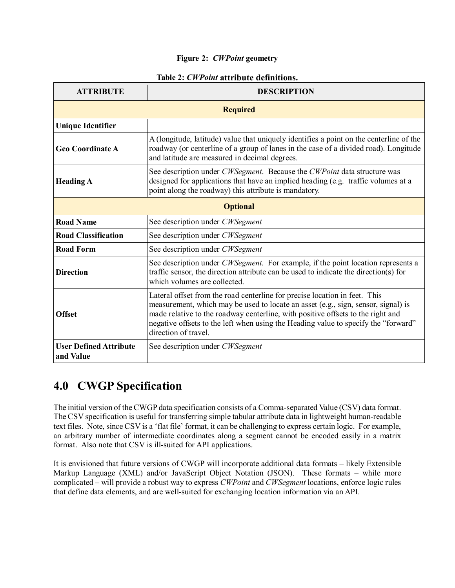#### **Figure 2:** *CWPoint* **geometry**

| <b>ATTRIBUTE</b>                                                                                                                                                                                                                                                                                                                                                                  | <b>DESCRIPTION</b>                                                                                                                                                                                                               |  |  |  |  |  |  |  |
|-----------------------------------------------------------------------------------------------------------------------------------------------------------------------------------------------------------------------------------------------------------------------------------------------------------------------------------------------------------------------------------|----------------------------------------------------------------------------------------------------------------------------------------------------------------------------------------------------------------------------------|--|--|--|--|--|--|--|
|                                                                                                                                                                                                                                                                                                                                                                                   | <b>Required</b>                                                                                                                                                                                                                  |  |  |  |  |  |  |  |
| <b>Unique Identifier</b>                                                                                                                                                                                                                                                                                                                                                          |                                                                                                                                                                                                                                  |  |  |  |  |  |  |  |
| <b>Geo Coordinate A</b>                                                                                                                                                                                                                                                                                                                                                           | A (longitude, latitude) value that uniquely identifies a point on the centerline of the<br>roadway (or centerline of a group of lanes in the case of a divided road). Longitude<br>and latitude are measured in decimal degrees. |  |  |  |  |  |  |  |
| <b>Heading A</b>                                                                                                                                                                                                                                                                                                                                                                  | See description under CWSegment. Because the CWPoint data structure was<br>designed for applications that have an implied heading (e.g. traffic volumes at a<br>point along the roadway) this attribute is mandatory.            |  |  |  |  |  |  |  |
|                                                                                                                                                                                                                                                                                                                                                                                   | <b>Optional</b>                                                                                                                                                                                                                  |  |  |  |  |  |  |  |
| <b>Road Name</b>                                                                                                                                                                                                                                                                                                                                                                  | See description under CWSegment                                                                                                                                                                                                  |  |  |  |  |  |  |  |
| <b>Road Classification</b>                                                                                                                                                                                                                                                                                                                                                        | See description under CWSegment                                                                                                                                                                                                  |  |  |  |  |  |  |  |
| <b>Road Form</b>                                                                                                                                                                                                                                                                                                                                                                  | See description under CWSegment                                                                                                                                                                                                  |  |  |  |  |  |  |  |
| <b>Direction</b>                                                                                                                                                                                                                                                                                                                                                                  | See description under CWSegment. For example, if the point location represents a<br>traffic sensor, the direction attribute can be used to indicate the direction(s) for<br>which volumes are collected.                         |  |  |  |  |  |  |  |
| Lateral offset from the road centerline for precise location in feet. This<br>measurement, which may be used to locate an asset (e.g., sign, sensor, signal) is<br>made relative to the roadway centerline, with positive offsets to the right and<br><b>Offset</b><br>negative offsets to the left when using the Heading value to specify the "forward"<br>direction of travel. |                                                                                                                                                                                                                                  |  |  |  |  |  |  |  |
| <b>User Defined Attribute</b><br>and Value                                                                                                                                                                                                                                                                                                                                        | See description under CWSegment                                                                                                                                                                                                  |  |  |  |  |  |  |  |

#### **Table 2:** *CWPoint* **attribute definitions.**

## **4.0 CWGP Specification**

The initial version of the CWGP data specification consists of a Comma-separated Value (CSV) data format. The CSV specification is useful for transferring simple tabular attribute data in lightweight human-readable text files. Note, since CSV is a 'flat file' format, it can be challenging to express certain logic. For example, an arbitrary number of intermediate coordinates along a segment cannot be encoded easily in a matrix format. Also note that CSV is ill-suited for API applications.

It is envisioned that future versions of CWGP will incorporate additional data formats – likely Extensible Markup Language (XML) and/or JavaScript Object Notation (JSON). These formats – while more complicated – will provide a robust way to express *CWPoint* and *CWSegment* locations, enforce logic rules that define data elements, and are well-suited for exchanging location information via an API.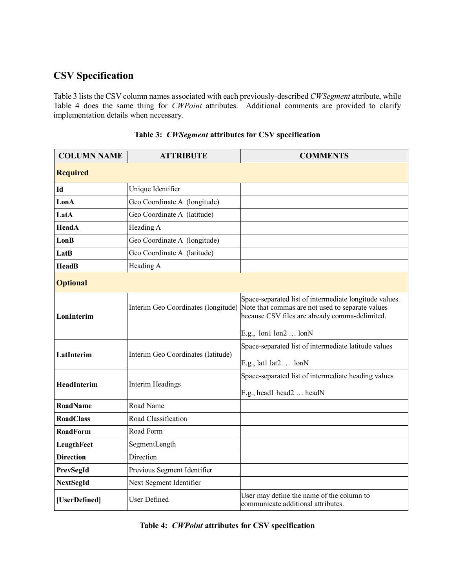# **CSV Specification**

Table 3 lists the CSV column names associated with each previously-described *CWSegment* attribute, while Table 4 does the same thing for *CWPoint* attributes. Additional comments are provided to clarify implementation details when necessary.

| <b>COLUMN NAME</b> | <b>ATTRIBUTE</b>                   | <b>COMMENTS</b>                                                                                                                                                                                                              |
|--------------------|------------------------------------|------------------------------------------------------------------------------------------------------------------------------------------------------------------------------------------------------------------------------|
| <b>Required</b>    |                                    |                                                                                                                                                                                                                              |
| Id                 | Unique Identifier                  |                                                                                                                                                                                                                              |
| LonA               | Geo Coordinate A (longitude)       |                                                                                                                                                                                                                              |
| LatA               | Geo Coordinate A (latitude)        |                                                                                                                                                                                                                              |
| HeadA              | Heading A                          |                                                                                                                                                                                                                              |
| LonB               | Geo Coordinate A (longitude)       |                                                                                                                                                                                                                              |
| LatB               | Geo Coordinate A (latitude)        |                                                                                                                                                                                                                              |
| <b>HeadB</b>       | Heading A                          |                                                                                                                                                                                                                              |
| <b>Optional</b>    |                                    |                                                                                                                                                                                                                              |
| LonInterim         |                                    | Space-separated list of intermediate longitude values.<br>Interim Geo Coordinates (longitude) Note that commas are not used to separate values<br>because CSV files are already comma-delimited.<br>E.g., $lon1 lon2$ $lonN$ |
| LatInterim         | Interim Geo Coordinates (latitude) | Space-separated list of intermediate latitude values<br>E.g., lat1 lat2 $\dots$ lonN                                                                                                                                         |
| HeadInterim        | <b>Interim Headings</b>            | Space-separated list of intermediate heading values<br>E.g., head1 head2  headN                                                                                                                                              |
| <b>RoadName</b>    | Road Name                          |                                                                                                                                                                                                                              |
| <b>RoadClass</b>   | Road Classification                |                                                                                                                                                                                                                              |
| <b>RoadForm</b>    | Road Form                          |                                                                                                                                                                                                                              |
| LengthFeet         | SegmentLength                      |                                                                                                                                                                                                                              |
| <b>Direction</b>   | Direction                          |                                                                                                                                                                                                                              |
| PrevSegId          | Previous Segment Identifier        |                                                                                                                                                                                                                              |
| <b>NextSegId</b>   | Next Segment Identifier            |                                                                                                                                                                                                                              |
| [UserDefined]      | <b>User Defined</b>                | User may define the name of the column to<br>communicate additional attributes.                                                                                                                                              |

|  |  |  |  | Table 3: CWSegment attributes for CSV specification |
|--|--|--|--|-----------------------------------------------------|
|--|--|--|--|-----------------------------------------------------|

|  |  |  |  |  | Table 4: <i>CWPoint</i> attributes for CSV specification |
|--|--|--|--|--|----------------------------------------------------------|
|--|--|--|--|--|----------------------------------------------------------|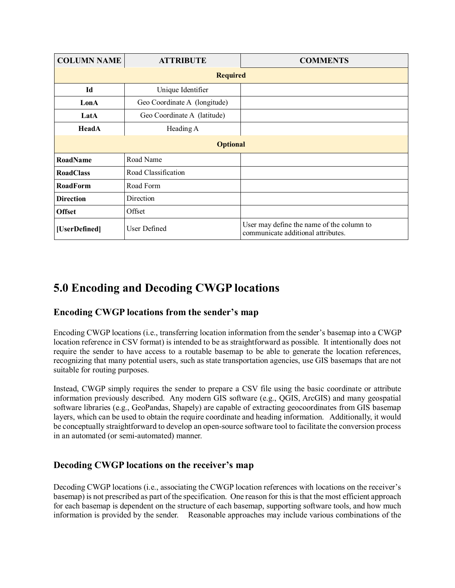| <b>COLUMN NAME</b>            | <b>ATTRIBUTE</b>             | <b>COMMENTS</b>                                                                 |  |  |  |  |  |  |
|-------------------------------|------------------------------|---------------------------------------------------------------------------------|--|--|--|--|--|--|
| <b>Required</b>               |                              |                                                                                 |  |  |  |  |  |  |
| Id                            | Unique Identifier            |                                                                                 |  |  |  |  |  |  |
| LonA                          | Geo Coordinate A (longitude) |                                                                                 |  |  |  |  |  |  |
| LatA                          | Geo Coordinate A (latitude)  |                                                                                 |  |  |  |  |  |  |
| HeadA                         | Heading A                    |                                                                                 |  |  |  |  |  |  |
|                               | <b>Optional</b>              |                                                                                 |  |  |  |  |  |  |
| <b>RoadName</b>               | Road Name                    |                                                                                 |  |  |  |  |  |  |
| <b>RoadClass</b>              | Road Classification          |                                                                                 |  |  |  |  |  |  |
| <b>RoadForm</b>               | Road Form                    |                                                                                 |  |  |  |  |  |  |
| <b>Direction</b>              | Direction                    |                                                                                 |  |  |  |  |  |  |
| <b>Offset</b>                 | Offset                       |                                                                                 |  |  |  |  |  |  |
| User Defined<br>[UserDefined] |                              | User may define the name of the column to<br>communicate additional attributes. |  |  |  |  |  |  |

# **5.0 Encoding and Decoding CWGP locations**

### **Encoding CWGP locations from the sender's map**

Encoding CWGP locations (i.e., transferring location information from the sender's basemap into a CWGP location reference in CSV format) is intended to be as straightforward as possible. It intentionally does not require the sender to have access to a routable basemap to be able to generate the location references, recognizing that many potential users, such as state transportation agencies, use GIS basemaps that are not suitable for routing purposes.

Instead, CWGP simply requires the sender to prepare a CSV file using the basic coordinate or attribute information previously described. Any modern GIS software (e.g., QGIS, ArcGIS) and many geospatial software libraries (e.g., GeoPandas, Shapely) are capable of extracting geocoordinates from GIS basemap layers, which can be used to obtain the require coordinate and heading information. Additionally, it would be conceptually straightforward to develop an open-source software tool to facilitate the conversion process in an automated (or semi-automated) manner.

### **Decoding CWGP locations on the receiver's map**

Decoding CWGP locations (i.e., associating the CWGP location references with locations on the receiver's basemap) is not prescribed as part of the specification. One reason for this is that the most efficient approach for each basemap is dependent on the structure of each basemap, supporting software tools, and how much information is provided by the sender. Reasonable approaches may include various combinations of the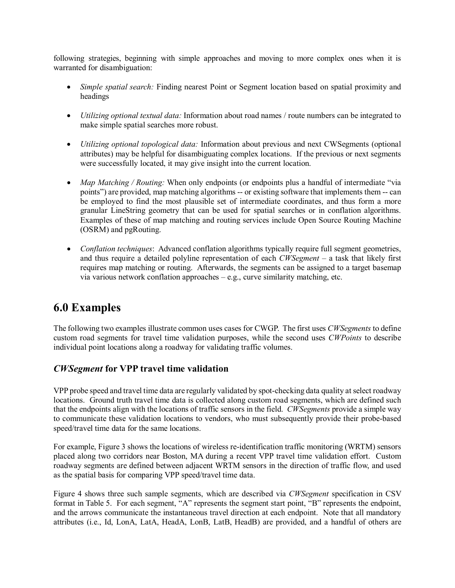following strategies, beginning with simple approaches and moving to more complex ones when it is warranted for disambiguation:

- *Simple spatial search:* Finding nearest Point or Segment location based on spatial proximity and headings
- *Utilizing optional textual data:* Information about road names / route numbers can be integrated to make simple spatial searches more robust.
- *Utilizing optional topological data:* Information about previous and next CWSegments (optional attributes) may be helpful for disambiguating complex locations. If the previous or next segments were successfully located, it may give insight into the current location.
- *Map Matching / Routing:* When only endpoints (or endpoints plus a handful of intermediate "via points") are provided, map matching algorithms -- or existing software that implements them -- can be employed to find the most plausible set of intermediate coordinates, and thus form a more granular LineString geometry that can be used for spatial searches or in conflation algorithms. Examples of these of map matching and routing services include Open Source Routing Machine (OSRM) and pgRouting.
- *Conflation techniques*: Advanced conflation algorithms typically require full segment geometries, and thus require a detailed polyline representation of each *CWSegment* – a task that likely first requires map matching or routing. Afterwards, the segments can be assigned to a target basemap via various network conflation approaches – e.g., curve similarity matching, etc.

## **6.0 Examples**

The following two examples illustrate common uses cases for CWGP. The first uses *CWSegments* to define custom road segments for travel time validation purposes, while the second uses *CWPoints* to describe individual point locations along a roadway for validating traffic volumes.

### *CWSegment* **for VPP travel time validation**

VPP probe speed and travel time data are regularly validated by spot-checking data quality at select roadway locations. Ground truth travel time data is collected along custom road segments, which are defined such that the endpoints align with the locations of traffic sensors in the field. *CWSegments* provide a simple way to communicate these validation locations to vendors, who must subsequently provide their probe-based speed/travel time data for the same locations.

For example, Figure 3 shows the locations of wireless re-identification traffic monitoring (WRTM) sensors placed along two corridors near Boston, MA during a recent VPP travel time validation effort. Custom roadway segments are defined between adjacent WRTM sensors in the direction of traffic flow, and used as the spatial basis for comparing VPP speed/travel time data.

Figure 4 shows three such sample segments, which are described via *CWSegment* specification in CSV format in Table 5. For each segment, "A" represents the segment start point, "B" represents the endpoint, and the arrows communicate the instantaneous travel direction at each endpoint. Note that all mandatory attributes (i.e., Id, LonA, LatA, HeadA, LonB, LatB, HeadB) are provided, and a handful of others are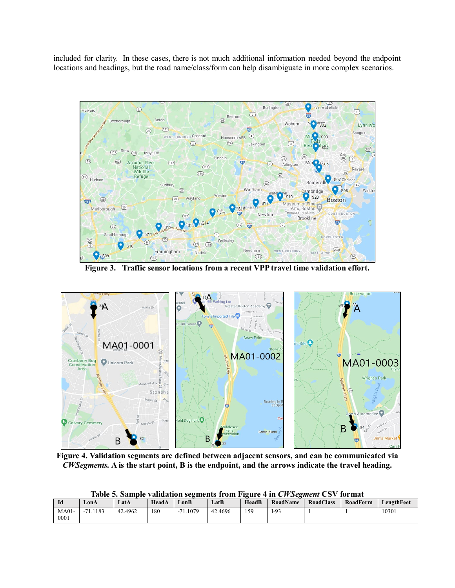included for clarity. In these cases, there is not much additional information needed beyond the endpoint locations and headings, but the road name/class/form can help disambiguate in more complex scenarios.



**Figure 3. Traffic sensor locations from a recent VPP travel time validation effort.**



**Figure 4. Validation segments are defined between adjacent sensors, and can be communicated via**  *CWSegments.* **A is the start point, B is the endpoint, and the arrows indicate the travel heading.**

| Id              | LonA                 | LatA    | HeadA | LonB           | LatB    | HeadB | <b>RoadName</b> | RoadClass | RoadForm | LengthFeet |
|-----------------|----------------------|---------|-------|----------------|---------|-------|-----------------|-----------|----------|------------|
| $MA01-$<br>0001 | 1.1183<br>71<br>$-1$ | 42.4962 | 180   | . 1.1079<br>71 | 42.4696 | 159   | $I-93$          |           |          | 10301      |

**Table 5. Sample validation segments from Figure 4 in** *CWSegment* **CSV format**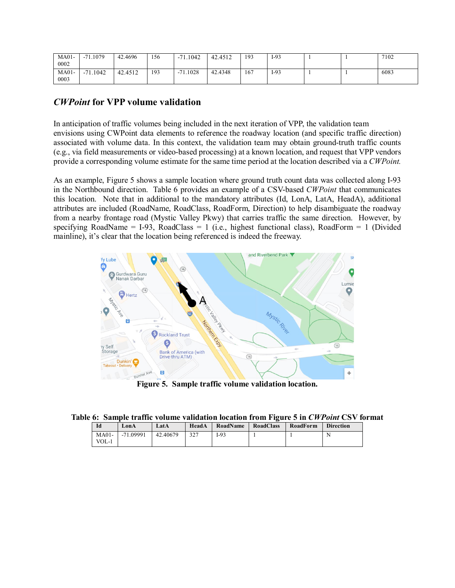| $MA01-$<br>0002 | 1.1079<br>71<br>- 1  | 42.4696 | 156 | .1042<br>71                            | 42.4512 | 193 | $I-93$ |  | 7102 |
|-----------------|----------------------|---------|-----|----------------------------------------|---------|-----|--------|--|------|
| $MA01-$<br>0003 | 1.1042<br>71<br>$-1$ | 42.4512 | 193 | $-71.1028$<br>$\overline{\phantom{a}}$ | 42.4348 | 167 | $I-93$ |  | 6083 |

#### *CWPoint* **for VPP volume validation**

In anticipation of traffic volumes being included in the next iteration of VPP, the validation team envisions using CWPoint data elements to reference the roadway location (and specific traffic direction) associated with volume data. In this context, the validation team may obtain ground-truth traffic counts (e.g., via field measurements or video-based processing) at a known location, and request that VPP vendors provide a corresponding volume estimate for the same time period at the location described via a *CWPoint.*

As an example, Figure 5 shows a sample location where ground truth count data was collected along I-93 in the Northbound direction. Table 6 provides an example of a CSV-based *CWPoint* that communicates this location. Note that in additional to the mandatory attributes (Id, LonA, LatA, HeadA), additional attributes are included (RoadName, RoadClass, RoadForm, Direction) to help disambiguate the roadway from a nearby frontage road (Mystic Valley Pkwy) that carries traffic the same direction. However, by specifying RoadName = I-93, RoadClass = 1 (i.e., highest functional class), RoadForm = 1 (Divided mainline), it's clear that the location being referenced is indeed the freeway.



**Figure 5. Sample traffic volume validation location.**

|  | Table 6: Sample traffic volume validation location from Figure 5 in CWPoint CSV format |  |  |  |  |  |  |  |  |  |
|--|----------------------------------------------------------------------------------------|--|--|--|--|--|--|--|--|--|
|--|----------------------------------------------------------------------------------------|--|--|--|--|--|--|--|--|--|

| Id      | LonA      | Lat A    | HeadA | RoadName | RoadClass | RoadForm | <b>Direction</b> |
|---------|-----------|----------|-------|----------|-----------|----------|------------------|
| $MA01-$ | -71.09991 | 42.40679 | 327   | -93      |           |          |                  |
| $VOL-1$ |           |          |       |          |           |          |                  |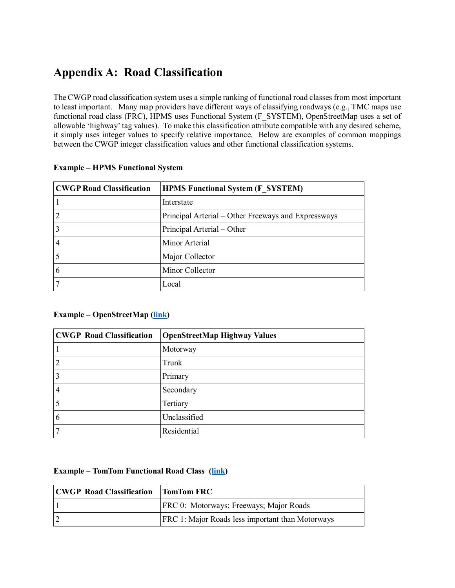# **Appendix A: Road Classification**

The CWGP road classification system uses a simple ranking of functional road classes from most important to least important. Many map providers have different ways of classifying roadways (e.g., TMC maps use functional road class (FRC), HPMS uses Functional System (F\_SYSTEM), OpenStreetMap uses a set of allowable 'highway' tag values). To make this classification attribute compatible with any desired scheme, it simply uses integer values to specify relative importance. Below are examples of common mappings between the CWGP integer classification values and other functional classification systems.

| <b>CWGP Road Classification</b> | <b>HPMS Functional System (F SYSTEM)</b>            |
|---------------------------------|-----------------------------------------------------|
|                                 | Interstate                                          |
| 2                               | Principal Arterial – Other Freeways and Expressways |
| 3                               | Principal Arterial - Other                          |
| 4                               | Minor Arterial                                      |
|                                 | Major Collector                                     |
| 6                               | Minor Collector                                     |
|                                 | Local                                               |

#### **Example – HPMS Functional System**

#### **Example – OpenStreetMap [\(link\)](https://wiki.openstreetmap.org/wiki/Key:highway)**

| <b>CWGP Road Classification</b> | <b>OpenStreetMap Highway Values</b> |
|---------------------------------|-------------------------------------|
|                                 | Motorway                            |
| 2                               | Trunk                               |
| 3                               | Primary                             |
| 4                               | Secondary                           |
| 5                               | Tertiary                            |
| 6                               | Unclassified                        |
|                                 | Residential                         |

#### **Example – TomTom Functional Road Class [\(link\)](https://developer.tomtom.com/traffic-stats/support/faq/what-are-functional-road-classes-frc)**

| <b>CWGP Road Classification</b> | <b>TomTom FRC</b>                                       |
|---------------------------------|---------------------------------------------------------|
|                                 | FRC 0: Motorways; Freeways; Major Roads                 |
|                                 | <b>FRC 1: Major Roads less important than Motorways</b> |